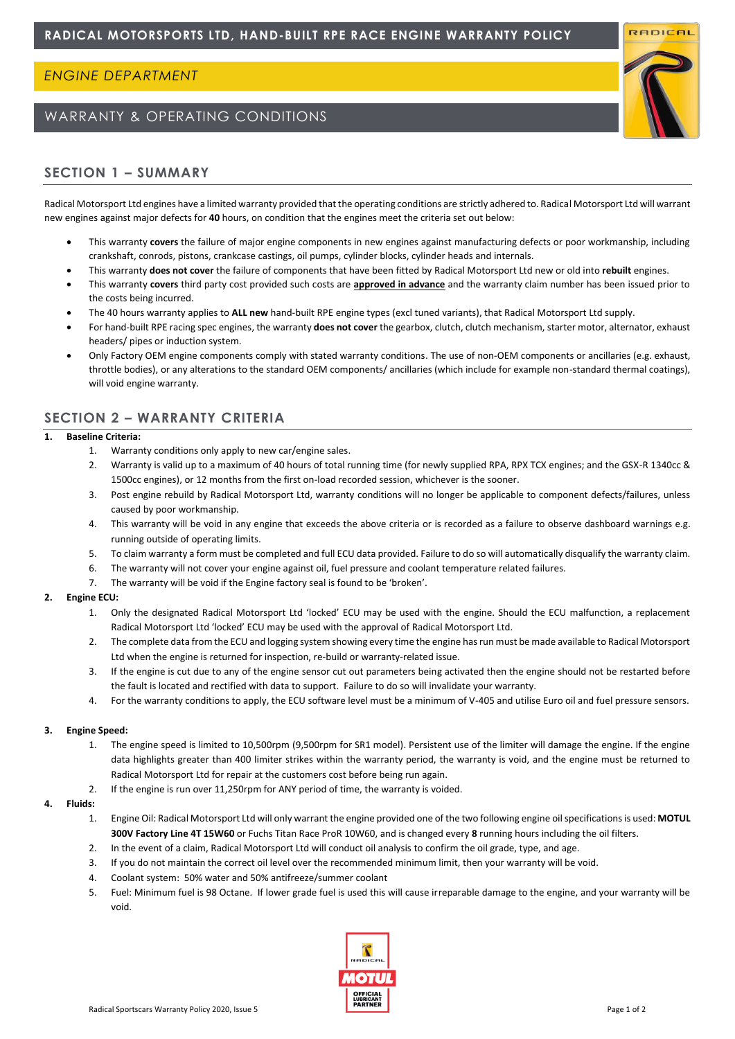## *ENGINE DEPARTMENT*

# WARRANTY & OPERATING CONDITIONS

# **RADICAL**



## **SECTION 1 – SUMMARY**

Radical Motorsport Ltd engines have a limited warranty provided that the operating conditions are strictly adhered to. Radical Motorsport Ltd will warrant new engines against major defects for **40** hours, on condition that the engines meet the criteria set out below:

- This warranty **covers** the failure of major engine components in new engines against manufacturing defects or poor workmanship, including crankshaft, conrods, pistons, crankcase castings, oil pumps, cylinder blocks, cylinder heads and internals.
- This warranty **does not cover** the failure of components that have been fitted by Radical Motorsport Ltd new or old into **rebuilt** engines.
- This warranty **covers** third party cost provided such costs are **approved in advance** and the warranty claim number has been issued prior to the costs being incurred.
- The 40 hours warranty applies to **ALL new** hand-built RPE engine types (excl tuned variants), that Radical Motorsport Ltd supply.
- For hand-built RPE racing spec engines, the warranty **does not cover** the gearbox, clutch, clutch mechanism, starter motor, alternator, exhaust headers/ pipes or induction system.
- Only Factory OEM engine components comply with stated warranty conditions. The use of non-OEM components or ancillaries (e.g. exhaust, throttle bodies), or any alterations to the standard OEM components/ ancillaries (which include for example non-standard thermal coatings), will void engine warranty.

## **SECTION 2 – WARRANTY CRITERIA**

#### **1. Baseline Criteria:**

- 1. Warranty conditions only apply to new car/engine sales.
- 2. Warranty is valid up to a maximum of 40 hours of total running time (for newly supplied RPA, RPX TCX engines; and the GSX-R 1340cc & 1500cc engines), or 12 months from the first on-load recorded session, whichever is the sooner.
- 3. Post engine rebuild by Radical Motorsport Ltd, warranty conditions will no longer be applicable to component defects/failures, unless caused by poor workmanship.
- 4. This warranty will be void in any engine that exceeds the above criteria or is recorded as a failure to observe dashboard warnings e.g. running outside of operating limits.
- 5. To claim warranty a form must be completed and full ECU data provided. Failure to do so will automatically disqualify the warranty claim.
- 6. The warranty will not cover your engine against oil, fuel pressure and coolant temperature related failures.
- 7. The warranty will be void if the Engine factory seal is found to be 'broken'.

#### **2. Engine ECU:**

- 1. Only the designated Radical Motorsport Ltd 'locked' ECU may be used with the engine. Should the ECU malfunction, a replacement Radical Motorsport Ltd 'locked' ECU may be used with the approval of Radical Motorsport Ltd.
- 2. The complete data from the ECU and logging system showing every time the engine has run must be made available to Radical Motorsport Ltd when the engine is returned for inspection, re-build or warranty-related issue.
- 3. If the engine is cut due to any of the engine sensor cut out parameters being activated then the engine should not be restarted before the fault is located and rectified with data to support. Failure to do so will invalidate your warranty.
- 4. For the warranty conditions to apply, the ECU software level must be a minimum of V-405 and utilise Euro oil and fuel pressure sensors.

#### **3. Engine Speed:**

- 1. The engine speed is limited to 10,500rpm (9,500rpm for SR1 model). Persistent use of the limiter will damage the engine. If the engine data highlights greater than 400 limiter strikes within the warranty period, the warranty is void, and the engine must be returned to Radical Motorsport Ltd for repair at the customers cost before being run again.
- 2. If the engine is run over 11,250rpm for ANY period of time, the warranty is voided.

#### **4. Fluids:**

- 1. Engine Oil: Radical Motorsport Ltd will only warrant the engine provided one of the two following engine oil specifications is used: **MOTUL 300V Factory Line 4T 15W60** or Fuchs Titan Race ProR 10W60, and is changed every **8** running hours including the oil filters.
- 2. In the event of a claim, Radical Motorsport Ltd will conduct oil analysis to confirm the oil grade, type, and age.
- 3. If you do not maintain the correct oil level over the recommended minimum limit, then your warranty will be void.
- 4. Coolant system: 50% water and 50% antifreeze/summer coolant
- 5. Fuel: Minimum fuel is 98 Octane. If lower grade fuel is used this will cause irreparable damage to the engine, and your warranty will be void.